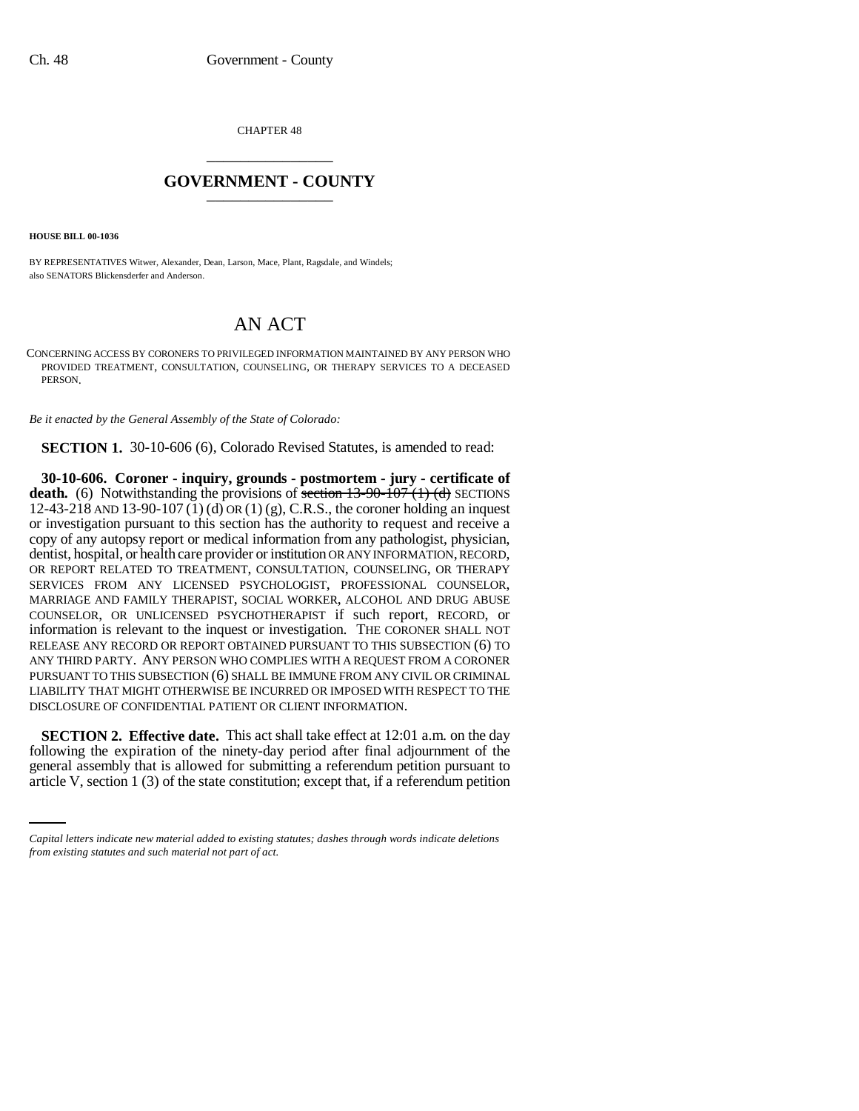CHAPTER 48 \_\_\_\_\_\_\_\_\_\_\_\_\_\_\_

## **GOVERNMENT - COUNTY** \_\_\_\_\_\_\_\_\_\_\_\_\_\_\_

**HOUSE BILL 00-1036** 

BY REPRESENTATIVES Witwer, Alexander, Dean, Larson, Mace, Plant, Ragsdale, and Windels; also SENATORS Blickensderfer and Anderson.

## AN ACT

CONCERNING ACCESS BY CORONERS TO PRIVILEGED INFORMATION MAINTAINED BY ANY PERSON WHO PROVIDED TREATMENT, CONSULTATION, COUNSELING, OR THERAPY SERVICES TO A DECEASED PERSON.

*Be it enacted by the General Assembly of the State of Colorado:*

**SECTION 1.** 30-10-606 (6), Colorado Revised Statutes, is amended to read:

**30-10-606. Coroner - inquiry, grounds - postmortem - jury - certificate of death.** (6) Notwithstanding the provisions of section 13-90-107 (1) (d) SECTIONS 12-43-218 AND 13-90-107 (1) (d) OR (1) (g), C.R.S., the coroner holding an inquest or investigation pursuant to this section has the authority to request and receive a copy of any autopsy report or medical information from any pathologist, physician, dentist, hospital, or health care provider or institution OR ANY INFORMATION, RECORD, OR REPORT RELATED TO TREATMENT, CONSULTATION, COUNSELING, OR THERAPY SERVICES FROM ANY LICENSED PSYCHOLOGIST, PROFESSIONAL COUNSELOR, MARRIAGE AND FAMILY THERAPIST, SOCIAL WORKER, ALCOHOL AND DRUG ABUSE COUNSELOR, OR UNLICENSED PSYCHOTHERAPIST if such report, RECORD, or information is relevant to the inquest or investigation. THE CORONER SHALL NOT RELEASE ANY RECORD OR REPORT OBTAINED PURSUANT TO THIS SUBSECTION (6) TO ANY THIRD PARTY. ANY PERSON WHO COMPLIES WITH A REQUEST FROM A CORONER PURSUANT TO THIS SUBSECTION (6) SHALL BE IMMUNE FROM ANY CIVIL OR CRIMINAL LIABILITY THAT MIGHT OTHERWISE BE INCURRED OR IMPOSED WITH RESPECT TO THE DISCLOSURE OF CONFIDENTIAL PATIENT OR CLIENT INFORMATION.

following the expiration of the ninety-day period after final adjournment of the **SECTION 2. Effective date.** This act shall take effect at 12:01 a.m. on the day general assembly that is allowed for submitting a referendum petition pursuant to article V, section  $1(3)$  of the state constitution; except that, if a referendum petition

*Capital letters indicate new material added to existing statutes; dashes through words indicate deletions from existing statutes and such material not part of act.*